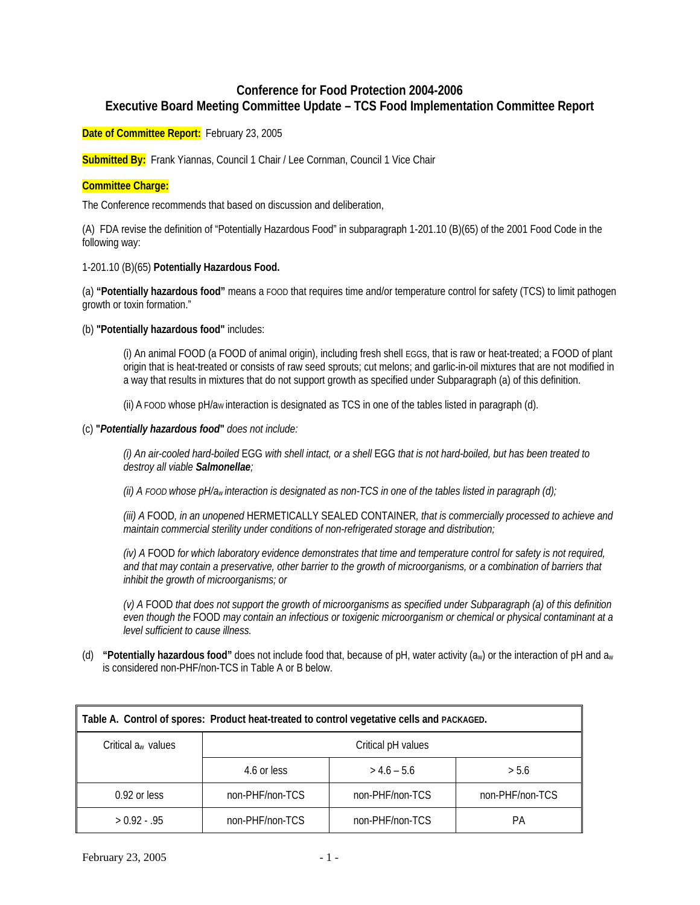# **Conference for Food Protection 2004-2006 Executive Board Meeting Committee Update – TCS Food Implementation Committee Report**

**Date of Committee Report:** February 23, 2005

**Submitted By:** Frank Yiannas, Council 1 Chair / Lee Cornman, Council 1 Vice Chair

# **Committee Charge:**

The Conference recommends that based on discussion and deliberation,

(A) FDA revise the definition of "Potentially Hazardous Food" in subparagraph 1-201.10 (B)(65) of the 2001 Food Code in the following way:

# 1-201.10 (B)(65) **Potentially Hazardous Food.**

(a) **"Potentially hazardous food"** means a FOOD that requires time and/or temperature control for safety (TCS) to limit pathogen growth or toxin formation."

(b) **"Potentially hazardous food"** includes:

(i) An animal FOOD (a FOOD of animal origin), including fresh shell EGGs, that is raw or heat-treated; a FOOD of plant origin that is heat-treated or consists of raw seed sprouts; cut melons; and garlic-in-oil mixtures that are not modified in a way that results in mixtures that do not support growth as specified under Subparagraph (a) of this definition.

(ii) A FOOD whose  $pH/a_W$  interaction is designated as TCS in one of the tables listed in paragraph (d).

### (c) **"***Potentially hazardous food***"** *does not include:*

*(i) An air-cooled hard-boiled* EGG *with shell intact, or a shell* EGG *that is not hard-boiled, but has been treated to destroy all viable Salmonellae;*

*(ii) A FOOD whose pH/aw interaction is designated as non-TCS in one of the tables listed in paragraph (d);* 

*(iii) A* FOOD*, in an unopened* HERMETICALLY SEALED CONTAINER*, that is commercially processed to achieve and maintain commercial sterility under conditions of non-refrigerated storage and distribution;* 

*(iv) A* FOOD *for which laboratory evidence demonstrates that time and temperature control for safety is not required, and that may contain a preservative, other barrier to the growth of microorganisms, or a combination of barriers that inhibit the growth of microorganisms; or*

*(v) A* FOOD *that does not support the growth of microorganisms as specified under Subparagraph (a) of this definition even though the* FOOD *may contain an infectious or toxigenic microorganism or chemical or physical contaminant at a level sufficient to cause illness.* 

(d) **"Potentially hazardous food"** does not include food that, because of pH, water activity (aw) or the interaction of pH and aw is considered non-PHF/non-TCS in Table A or B below.

| Table A. Control of spores: Product heat-treated to control vegetative cells and PACKAGED. |                    |                 |                 |  |  |  |
|--------------------------------------------------------------------------------------------|--------------------|-----------------|-----------------|--|--|--|
| Critical a <sub>w</sub> values                                                             | Critical pH values |                 |                 |  |  |  |
|                                                                                            | 4.6 or less        | $> 4.6 - 5.6$   | > 5.6           |  |  |  |
| $0.92$ or less                                                                             | non-PHF/non-TCS    | non-PHF/non-TCS | non-PHF/non-TCS |  |  |  |
| $> 0.92 - .95$                                                                             | non-PHF/non-TCS    | non-PHF/non-TCS | PА              |  |  |  |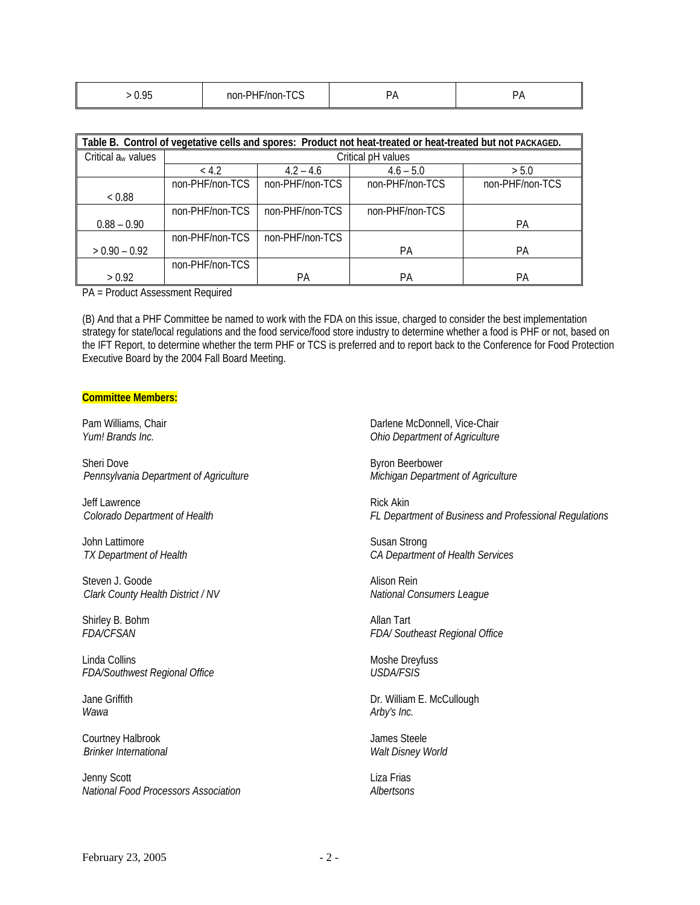| i OE<br>$\lambda$<br>$\mathbf{u}$ | P11F1<br>$-\sim$<br>non-<br>.DHF.<br>$/$ non-<br>◡◡ | ″ ف<br>. | ۸ د،<br>. |
|-----------------------------------|-----------------------------------------------------|----------|-----------|
|                                   |                                                     |          |           |

| Table B. Control of vegetative cells and spores: Product not heat-treated or heat-treated but not PACKAGED. |                    |                 |                 |                 |  |  |
|-------------------------------------------------------------------------------------------------------------|--------------------|-----------------|-----------------|-----------------|--|--|
| Critical $a_w$ values                                                                                       | Critical pH values |                 |                 |                 |  |  |
|                                                                                                             | < 4.2              | $4.2 - 4.6$     | $4.6 - 5.0$     | > 5.0           |  |  |
|                                                                                                             | non-PHF/non-TCS    | non-PHF/non-TCS | non-PHF/non-TCS | non-PHF/non-TCS |  |  |
| < 0.88                                                                                                      |                    |                 |                 |                 |  |  |
|                                                                                                             | non-PHF/non-TCS    | non-PHF/non-TCS | non-PHF/non-TCS |                 |  |  |
| $0.88 - 0.90$                                                                                               |                    |                 |                 | РA              |  |  |
|                                                                                                             | non-PHF/non-TCS    | non-PHF/non-TCS |                 |                 |  |  |
| $> 0.90 - 0.92$                                                                                             |                    |                 | <b>PA</b>       | РA              |  |  |
|                                                                                                             | non-PHF/non-TCS    |                 |                 |                 |  |  |
| > 0.92                                                                                                      |                    | РA              | PA              | РA              |  |  |

PA = Product Assessment Required

(B) And that a PHF Committee be named to work with the FDA on this issue, charged to consider the best implementation strategy for state/local regulations and the food service/food store industry to determine whether a food is PHF or not, based on the IFT Report, to determine whether the term PHF or TCS is preferred and to report back to the Conference for Food Protection Executive Board by the 2004 Fall Board Meeting.

#### **Committee Members:**

Sheri Dove Byron Beerbower 0B*Pennsylvania Department of Agriculture Michigan Department of Agriculture* 

Jeff Lawrence<br>Colorado Department of Health example of the Rick Akin Colorado Department of Health

John Lattimore Susan Strong

Steven J. Goode **Alison Rein** 3B*Clark County Health District / NV National Consumers League* 

Shirley B. Bohm Allan Tart

Linda Collins **Moshe Dreyfuss** Moshe Dreyfuss *FDA/Southwest Regional Office USDA/FSIS* 

*Wawa Arby's Inc.* 

Courtney Halbrook **Courtney** Halbrook 4B*Brinker International Walt Disney World* 

Jenny Scott **Liza Frias** *National Food Processors Association Albertsons* 

Pam Williams, Chair **Pam Williams, Chair** Pam Williams, Chair **Darlene McDonnell, Vice-Chair** *Demartment of Agriculture Ohio Department of Agriculture* 

1B*Colorado Department of Health FL Department of Business and Professional Regulations* 

2B*TX Department of Health CA Department of Health Services* 

*FDA/CFSAN FDA/ Southeast Regional Office* 

Jane Griffith **Dr. William E. McCullough**